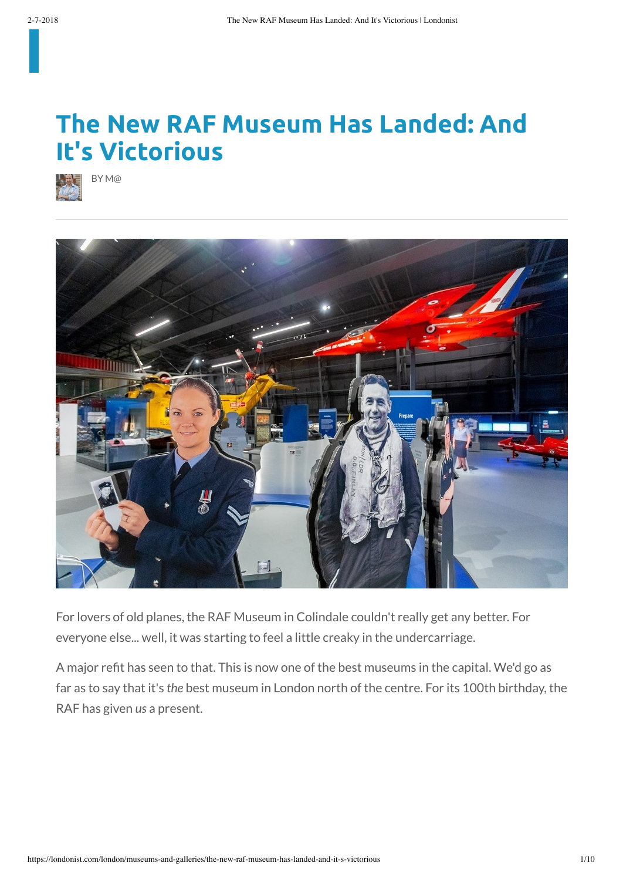## **The New RAF Museum Has Landed: And It's Victorious**





For lovers of old planes, the RAF Museum in Colindale couldn't really get any better. For everyone else... well, it was starting to feel a little creaky in the undercarriage.

A major refit has seen to that. This is now one of the best museums in the capital. We'd go as far as to say that it's *the* best museum in London north of the centre. For its 100th birthday, the RAF has given *us* a present.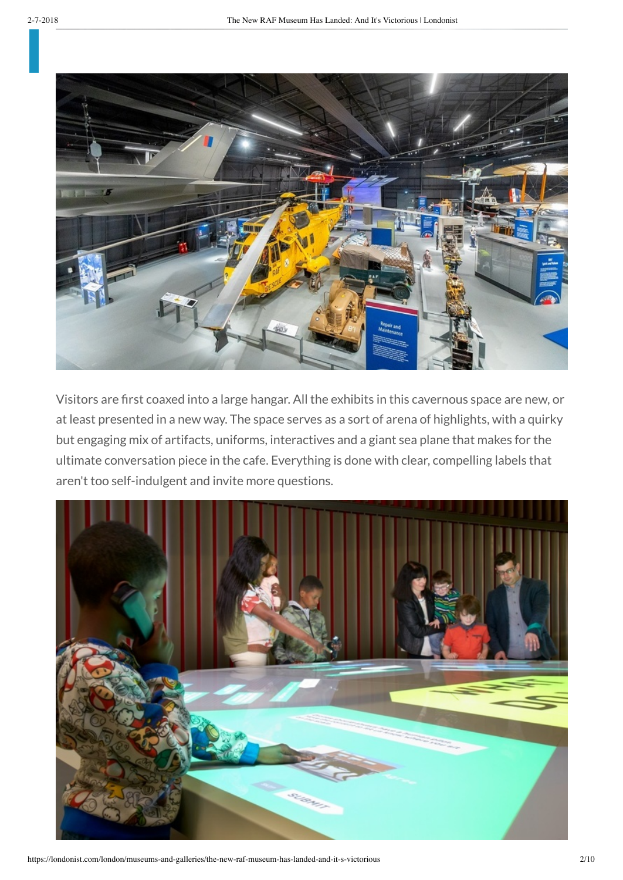

Visitors are first coaxed into a large hangar. All the exhibits in this cavernous space are new, or at least presented in a new way. The space serves as a sort of arena of highlights, with a quirky but engaging mix of artifacts, uniforms, interactives and a giant sea plane that makes for the ultimate conversation piece in the cafe. Everything is done with clear, compelling labels that aren't too self-indulgent and invite more questions.

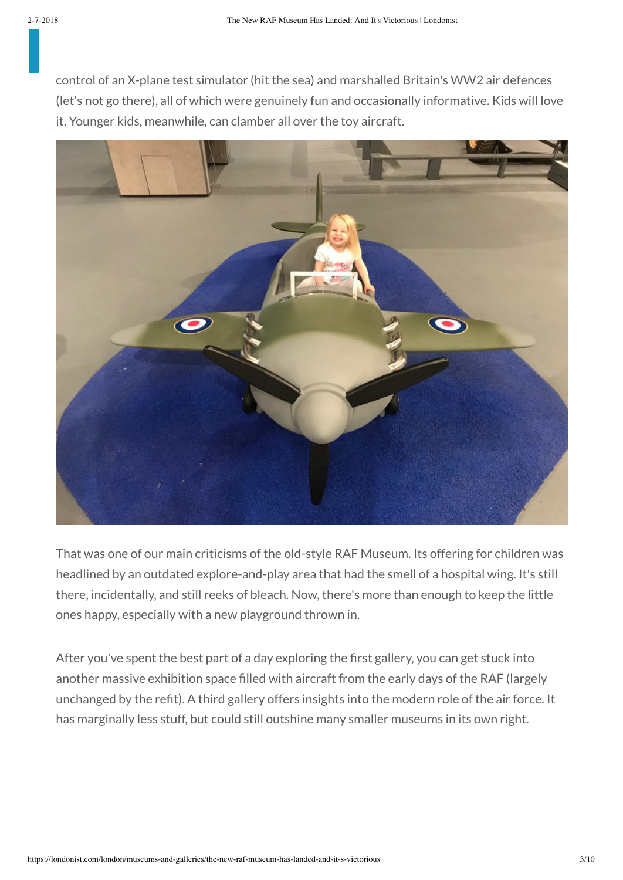control of an X-plane test simulator (hit the sea) and marshalled Britain's WW2 air defences (let's not go there), all of which were genuinely fun and occasionally informative. Kids will love it. Younger kids, meanwhile, can clamber all over the toy aircraft.



That was one of our main criticisms of the old-style RAF Museum. Its offering for children was headlined by an outdated explore-and-play area that had the smell of a hospital wing. It's still there, incidentally, and still reeks of bleach. Now, there's more than enough to keep the little ones happy, especially with a new playground thrown in.

After you've spent the best part of a day exploring the first gallery, you can get stuck into another massive exhibition space filled with aircraft from the early days of the RAF (largely unchanged by the refit). A third gallery offers insights into the modern role of the air force. It has marginally less stuff, but could still outshine many smaller museums in its own right.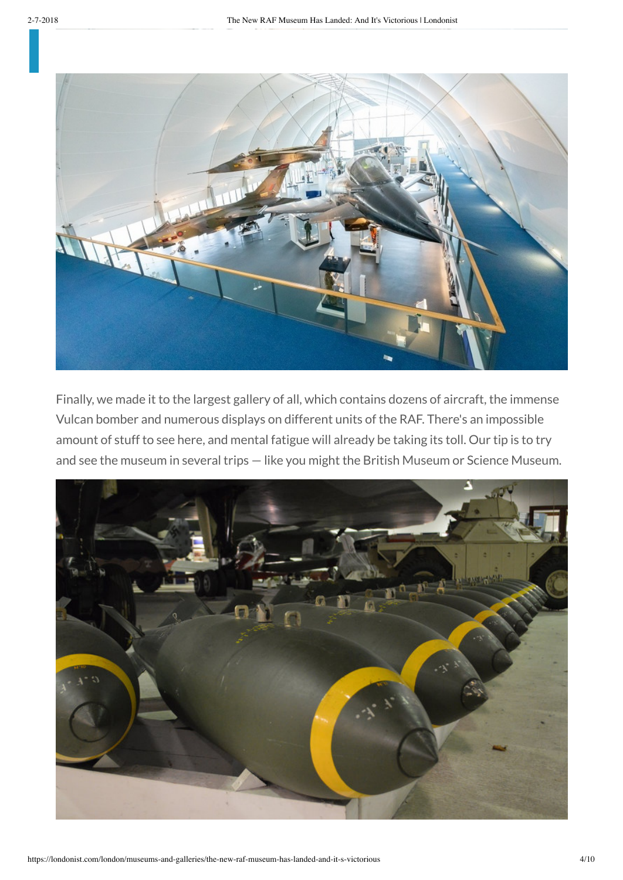

Finally, we made it to the largest gallery of all, which contains dozens of aircraft, the immense Vulcan bomber and numerous displays on different units of the RAF. There's an impossible amount of stuff to see here, and mental fatigue will already be taking its toll. Our tip is to try and see the museum in several trips — like you might the British Museum or Science Museum.